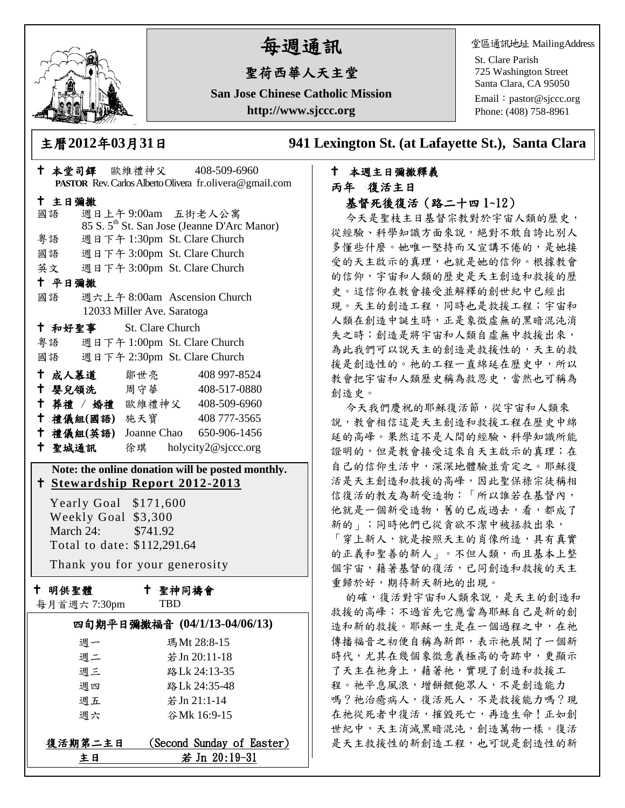

# 每週通訊

## 聖荷西華人天主堂

**San Jose Chinese Catholic Mission http://www.sjccc.org**

堂區通訊地址 MailingAddress

St. Clare Parish 725 Washington Street Santa Clara, CA 95050

Email: [pastor@sjccc.org](mailto:pastor@sjccc.org) Phone: (408) 758-8961

主曆**2012**年**03**月**31**日 **941 Lexington St. (at Lafayette St.), Santa Clara** 

### 本週主日彌撒釋義 丙年 復活主日 基督死後復活(路二十四 1~12)

今天是聖枝主日基督宗教對於宇宙人類的歷史, 從經驗、科學知識方面來說,絕對不敢自誇比別人 多懂些什麼。她唯一堅持而又宣講不倦的,是她接 受的天主啟示的真理,也就是她的信仰。根據教會 的信仰,宇宙和人類的歷史是天主創造和救援的歷 史。這信仰在教會接受並解釋的創世紀中已經出 現。天主的創造工程,同時也是救援工程;宇宙和 人類在創造中誕生時,正是象徵虛無的黑暗混沌消 失之時;創造是將宇宙和人類自虛無中救援出來, 為此我們可以說天主的創造是救援性的,天主的救 援是創造性的。祂的工程一直綿延在歷史中,所以 教會把宇宙和人類歷史稱為救恩史,當然也可稱為 創造史。

今天我們慶祝的耶穌復活節,從宇宙和人類來 說,教會相信這是天主創造和救援工程在歷史中綿 延的高峰。果然這不是人間的經驗、科學知識所能 證明的,但是教會接受這來自天主啟示的真理;在 自己的信仰生活中,深深地體驗並肯定之。耶穌復 活是天主創造和救援的高峰,因此聖保祿宗徒稱相 信復活的教友為新受造物:「所以誰若在基督內, 他就是一個新受造物,舊的已成過去,看,都成了 新的」;同時他們已從貪欲不潔中被拯救出來, 「穿上新人,就是按照天主的肖像所造,具有真實 的正義和聖善的新人」。不但人類,而且基本上整 個宇宙,藉著基督的復活,已同創造和救援的天主 重歸於好,期待新天新地的出現。

的確,復活對宇宙和人類來說,是天主的創造和 救援的高峰;不過首先它應當為耶穌自己是新的創 造和新的救援。耶穌一生是在一個過程之中,在祂 傳播福音之初便自稱為新郎,表示祂展開了一個新 時代,尤其在幾個象徵意義極高的奇跡中,更顯示 了天主在祂身上,藉著祂,實現了創造和救援工 程。祂平息風浪,增餅餵飽眾人,不是創造能力 嗎? 祂治癒病人, 復活死人, 不是救援能力嗎?現 在祂從死者中復活,摧毀死亡,再造生命!正如創 世紀中,天主消滅黑暗混沌,創造萬物一樣。復活 是天主救援性的新創造工程,也可說是創造性的新

|                                           | † 本堂司鐸 歐維禮神父 408-509-6960<br>PASTOR Rev. Carlos Alberto Olivera fr.olivera@gmail.com |
|-------------------------------------------|--------------------------------------------------------------------------------------|
| 十 主日彌撒                                    |                                                                                      |
| 國語                                        | 週日上午9:00am 五街老人公寓                                                                    |
| 粤語                                        | 85 S. 5 <sup>th</sup> St. San Jose (Jeanne D'Arc Manor)                              |
| 國語 週日下午 3:00pm St. Clare Church           | 週日下午 1:30pm St. Clare Church                                                         |
|                                           |                                                                                      |
| 英文 週日下午 3:00pm St. Clare Church<br>十 平日彌撒 |                                                                                      |
| 國語 週六上午 8:00am Ascension Church           |                                                                                      |
| 12033 Miller Ave. Saratoga                |                                                                                      |
| † 和好聖事 St. Clare Church                   |                                                                                      |
| 粤語 週日下午 1:00pm St. Clare Church           |                                                                                      |
| 國語 週日下午 2:30pm St. Clare Church           |                                                                                      |
| † 成人慕道   鄒世亮                              | 408 997-8524                                                                         |
| ↑ 嬰兒領洗 周守華                                | 408-517-0880                                                                         |
|                                           | † 葬禮 / 婚禮 歐維禮神父 408-509-6960                                                         |
|                                           | † 禮儀組(國語) 施天寶 408777-3565                                                            |
|                                           | † 禮儀組(英語) Joanne Chao 650-906-1456                                                   |
|                                           |                                                                                      |
| + 聖城通訊 徐琪 holycity2@sjccc.org             |                                                                                      |
|                                           | Note: the online donation will be posted monthly.                                    |
| <u>† Stewardship Report 2012-2013</u>     |                                                                                      |
| Yearly Goal \$171,600                     |                                                                                      |
| Weekly Goal \$3,300                       |                                                                                      |
| March 24: \$741.92                        |                                                                                      |
| Total to date: \$112,291.64               |                                                                                      |
| Thank you for your generosity             |                                                                                      |
| 十 明供聖體                                    |                                                                                      |
| 每月首週六 7:30pm                              | ← 聖神同禱會<br><b>TBD</b>                                                                |
|                                           | 四旬期平日彌撒福音 (04/1/13-04/06/13)                                                         |
| 週一                                        | 瑪Mt 28:8-15                                                                          |
| 週二                                        | 若 Jn 20:11-18                                                                        |
| 週三                                        | 路Lk 24:13-35                                                                         |
| 週四                                        | 路Lk 24:35-48                                                                         |
| 週五                                        | 若 Jn 21:1-14                                                                         |
| 週六                                        | 谷Mk 16:9-15                                                                          |

## **復活期第二主日 (Second Sunday of Easter)** 主日 若 Jn 20:19-31

 $\mathcal{L}$